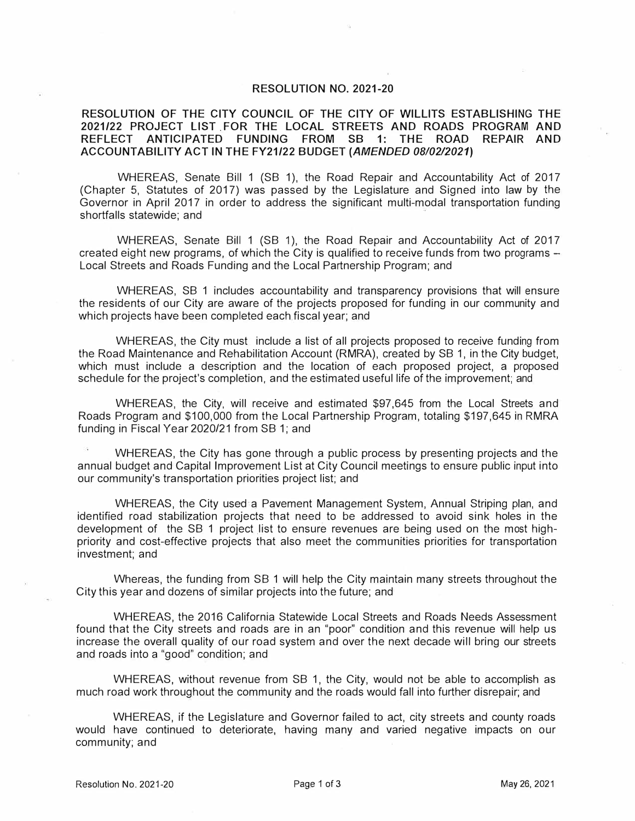## **RESOLUTION NO. 2021-20**

## **RESOLUTION OF THE CITY COUNCIL OF THE CITY OF WILLITS ESTABLISHING THE 2021/22 PROJECT LIST .FOR THE LOCAL STREETS AND ROADS PROGRAM AND REFLECT ANTICIPATED FUNDING FROM SB 1: THE ROAD REPAIR AND ACCOUNTABILITY ACT IN THE FY21/22 BUDGET** *(AMENDED 08/02/2021)*

WHEREAS, Senate Bill 1 (SB 1), the Road Repair and Accountability Act of 2017 (Chapter 5, Statutes of 2017) was passed by the Legislature and Signed into law by the Governor in April 2017 in order to address the significant multi-modal transportation funding shortfalls statewide; and

WHEREAS, Senate Bill 1 (SB 1), the Road Repair and Accountability Act of 2017 created eight new programs, of which the City is qualified to receive funds from two programs -Local Streets and Roads Funding and the Local Partnership Program; and

WHEREAS, SB 1 includes accountability and transparency provisions that will ensure the residents of our City are aware of the projects proposed for funding in our community and which projects have been completed each fiscal year; and

WHEREAS, the City must include a list of all projects proposed to receive funding from the Road Maintenance and Rehabilitation Account (RMRA), created by SB 1, in the City budget, which must include a description and the location of each proposed project, a proposed schedule for the project's completion, and the estimated useful life of the improvement; and

WHEREAS, the City, will receive and estimated \$97,645 from the Local Streets and Roads Program and \$100,000 from the Local Partnership Program, totaling \$197,645 in RMRA funding in Fiscal Year 2020/21 from SB 1; and

WHEREAS, the City has gone through a public process by presenting projects and the annual budget and Capital Improvement List at City Council meetings to ensure public input into our community's transportation priorities project list; and

WHEREAS, the City used a Pavement Management System, Annual Striping plan, and identified road stabilization projects that need to be addressed to avoid sink holes in the development of the SB 1 project list to ensure revenues are being used on the most highpriority and cost-effective projects that also meet the communities priorities for transportation investment; and

Whereas, the funding from SB 1 will help the City maintain many streets throughout the City this year and dozens of similar projects into the future; and

WHEREAS, the 2016 California Statewide Local Streets and Roads Needs Assessment found that the City streets and roads are in an "poor" condition and this revenue will help us increase the overall quality of our road system and over the next decade will bring our streets and roads into a "good" condition; and

WHEREAS, without revenue from SB 1, the City, would not be able to accomplish as much road work throughout the community and the roads would fall into further disrepair; and

WHEREAS, if the Legislature and Governor failed to act, city streets and county roads would have continued to deteriorate, having many and varied negative impacts on our community; and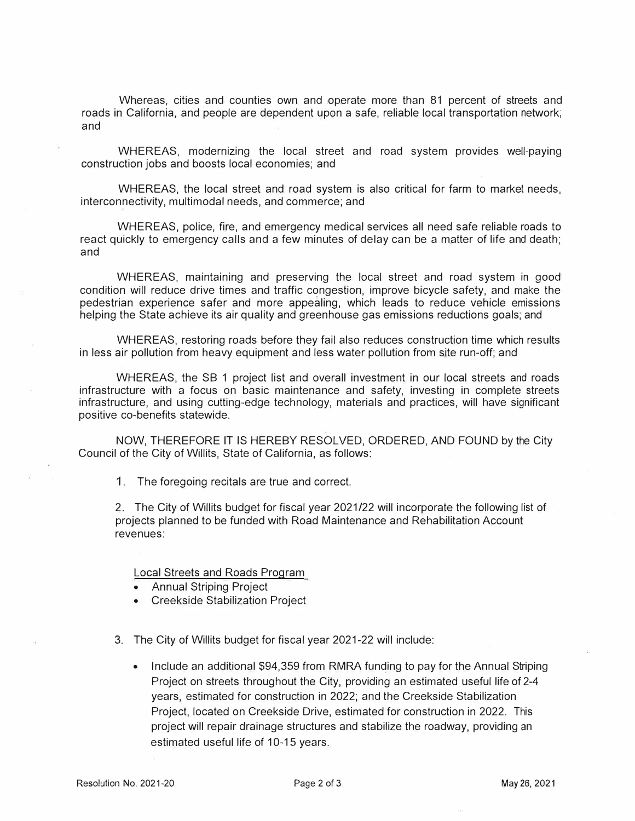Whereas, cities and counties own and operate more than 81 percent of streets and roads in California, and people are dependent upon a safe, reliable local transportation network; and

WHEREAS, modernizing the local street and road system provides well-paying construction jobs and boosts local economies; and

WHEREAS, the local street and road system is also critical for farm to market needs, interconnectivity, multimodal needs, and commerce; and

WHEREAS, police, fire, and emergency medical services all need safe reliable roads to react quickly to emergency calls and a few minutes of delay can be a matter of life and death; and

WHEREAS, maintaining and preserving the local street and road system in good condition will reduce drive times and traffic congestion, improve bicycle safety, and make the pedestrian experience safer and more appealing, which leads to reduce vehicle emissions helping the State achieve its air quality and greenhouse gas emissions reductions goals; and

WHEREAS, restoring roads before they fail also reduces construction time which results in less air pollution from heavy equipment and less water pollution from site run-off; and

WHEREAS, the SB 1 project list and overall investment in our local streets and roads infrastructure with a focus on basic maintenance and safety, investing in complete streets infrastructure, and using cutting-edge technology, materials and practices, will have significant positive co-benefits statewide.

NOW, THEREFORE IT IS HEREBY RESOLVED, ORDERED, AND FOUND by the City Council of the City of Willits, State of California, as follows:

1. The foregoing recitals are true and correct.

2. The City of Willits budget for fiscal year 2021/22 will incorporate the following list of projects planned to be funded with Road Maintenance and Rehabilitation Account revenues:

Local Streets and Roads Program

- Annual Striping Project
- Creekside Stabilization Project
- 3. The City of Willits budget for fiscal year 2021-22 will include:
	- Include an additional \$94,359 from RMRA funding to pay for the Annual Striping Project on streets throughout the City, providing an estimated useful life of 2-4 years, estimated for construction in 2022; and the Creekside Stabilization Project, located on Creekside Drive, estimated for construction in 2022. This project will repair drainage structures and stabilize the roadway, providing an estimated useful life of 10-15 years.